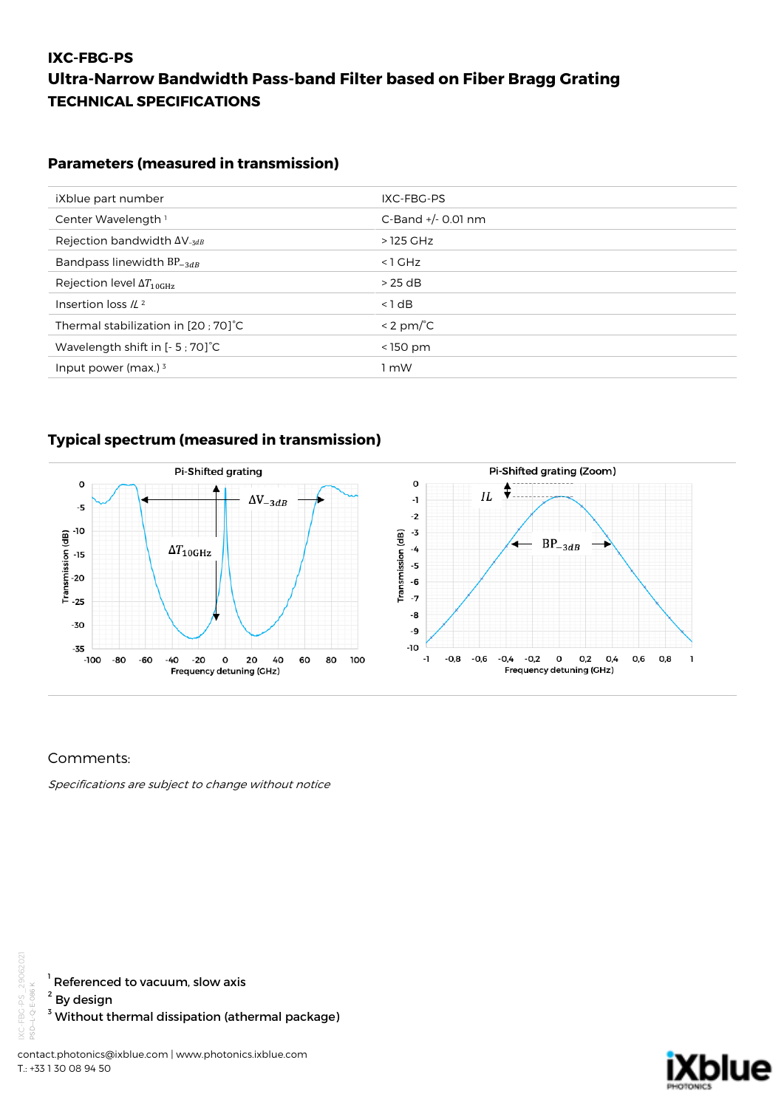## **IXC-FBG-PS Ultra-Narrow Bandwidth Pass-band Filter based on Fiber Bragg Grating TECHNICAL SPECIFICATIONS**

### **Parameters (measured in transmission)**

| iXblue part number                                | IXC-FBG-PS           |
|---------------------------------------------------|----------------------|
| Center Wavelength <sup>1</sup>                    | C-Band $+/-$ 0.01 nm |
| Rejection bandwidth $\Delta V_{-3dB}$             | >125 GHz             |
| Bandpass linewidth $BP_{-3dB}$                    | $<$ 1 GHz            |
| Rejection level $\Delta T_{10GHz}$                | $>25$ dB             |
| Insertion loss $/L^2$                             | $< 1$ dB             |
| Thermal stabilization in [20 ; 70] <sup>°</sup> C | $< 2$ pm/ $oC$       |
| Wavelength shift in [- 5 ; 70] <sup>°</sup> C     | $<$ 150 pm           |
| Input power (max.) $3$                            | ∣mW                  |

### **Typical spectrum (measured in transmission)**



### Comments:

Specifications are subject to change without notice



 $^{\rm ^{\rm ^{\rm {1}}}}$  Referenced to vacuum, slow axis

2 By design

 $^{\rm 3}$  Without thermal dissipation (athermal package)